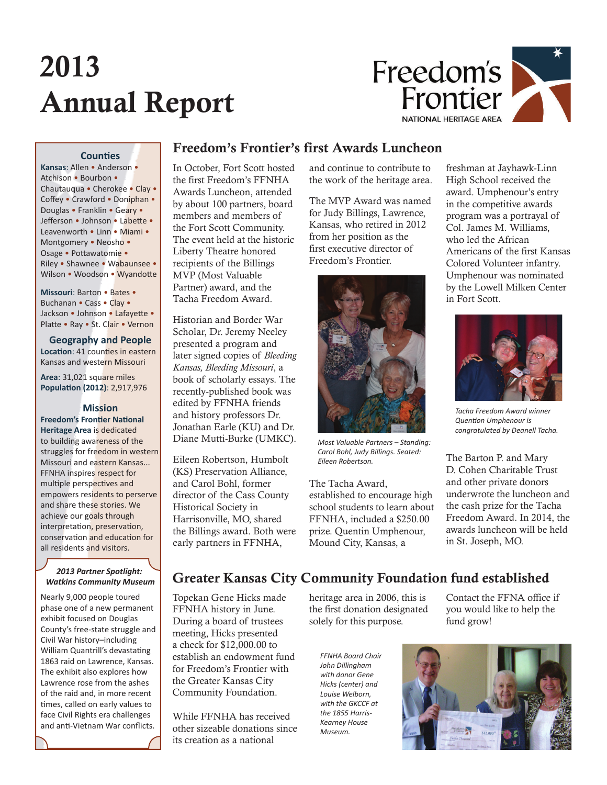# 2013 Annual Report



## **Counties**

**Kansas**: Allen • Anderson • Atchison • Bourbon • Chautauqua • Cherokee • Clay • Coffey • Crawford • Doniphan • Douglas • Franklin • Geary • Jefferson • Johnson • Labette • Leavenworth • Linn • Miami • Montgomery • Neosho • Osage • Pottawatomie • Riley • Shawnee • Wabaunsee • Wilson • Woodson • Wyandotte

**Missouri**: Barton • Bates • Buchanan • Cass • Clay • Jackson • Johnson • Lafayette • Platte • Ray • St. Clair • Vernon

## **Geography and People**

**Location**: 41 counties in eastern Kansas and western Missouri

**Area**: 31,021 square miles **Popula on (2012)**: 2,917,976

## **Mission**

**Freedom's Frontier National Heritage Area** is dedicated to building awareness of the struggles for freedom in western Missouri and eastern Kansas... FFNHA inspires respect for multiple perspectives and empowers residents to perserve and share these stories. We achieve our goals through interpretation, preservation, conservation and education for all residents and visitors.

## *2013 Partner Spotlight: Watkins Community Museum*

Nearly 9,000 people toured phase one of a new permanent exhibit focused on Douglas County's free-state struggle and Civil War history–including William Quantrill's devastating 1863 raid on Lawrence, Kansas. The exhibit also explores how Lawrence rose from the ashes of the raid and, in more recent times, called on early values to face Civil Rights era challenges and anti-Vietnam War conflicts.

## Freedom's Frontier's first Awards Luncheon

In October, Fort Scott hosted the first Freedom's FFNHA Awards Luncheon, attended by about 100 partners, board members and members of the Fort Scott Community. The event held at the historic Liberty Theatre honored recipients of the Billings MVP (Most Valuable Partner) award, and the Tacha Freedom Award.

Historian and Border War Scholar, Dr. Jeremy Neeley presented a program and later signed copies of *Bleeding Kansas, Bleeding Missouri*, a book of scholarly essays. The recently-published book was edited by FFNHA friends and history professors Dr. Jonathan Earle (KU) and Dr. Diane Mutti-Burke (UMKC).

Eileen Robertson, Humbolt (KS) Preservation Alliance, and Carol Bohl, former director of the Cass County Historical Society in Harrisonville, MO, shared the Billings award. Both were early partners in FFNHA,

and continue to contribute to the work of the heritage area.

The MVP Award was named for Judy Billings, Lawrence, Kansas, who retired in 2012 from her position as the first executive director of Freedom's Frontier.



*Most Valuable Partners – Standing: Carol Bohl, Judy Billings. Seated: Eileen Robertson.*

The Tacha Award, established to encourage high school students to learn about FFNHA, included a \$250.00 prize. Quentin Umphenour, Mound City, Kansas, a

freshman at Jayhawk-Linn High School received the award. Umphenour's entry in the competitive awards program was a portrayal of Col. James M. Williams, who led the African Americans of the first Kansas Colored Volunteer infantry. Umphenour was nominated by the Lowell Milken Center in Fort Scott.



*Tacha Freedom Award winner*  **Quention Umphenour is** *congratulated by Deanell Tacha.*

The Barton P. and Mary D. Cohen Charitable Trust and other private donors underwrote the luncheon and the cash prize for the Tacha Freedom Award. In 2014, the awards luncheon will be held in St. Joseph, MO.

# Greater Kansas City Community Foundation fund established

Topekan Gene Hicks made FFNHA history in June. During a board of trustees meeting, Hicks presented a check for \$12,000.00 to establish an endowment fund for Freedom's Frontier with the Greater Kansas City Community Foundation.

While FFNHA has received other sizeable donations since its creation as a national

heritage area in 2006, this is the first donation designated solely for this purpose.

*FFNHA Board Chair John Dillingham with donor Gene Hicks (center) and Louise Welborn, with the GKCCF at the 1855 Harris-Kearney House Museum.*

Contact the FFNA office if you would like to help the fund grow!

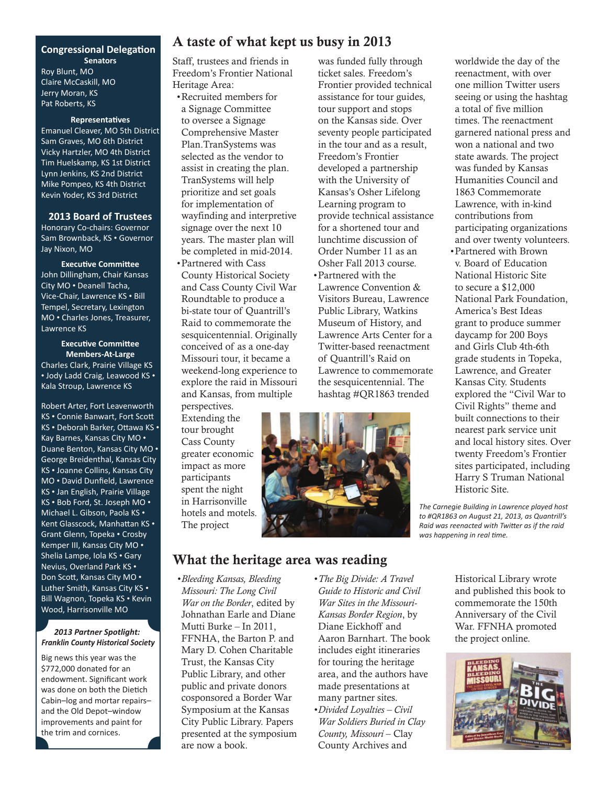## **Congressional Delegation Senators**

Roy Blunt, MO Claire McCaskill, MO Jerry Moran, KS Pat Roberts, KS

#### **Representatives**

Emanuel Cleaver, MO 5th District Sam Graves, MO 6th District Vicky Hartzler, MO 4th District Tim Huelskamp, KS 1st District Lynn Jenkins, KS 2nd District Mike Pompeo, KS 4th District Kevin Yoder, KS 3rd District

#### **2013 Board of Trustees**

Honorary Co-chairs: Governor Sam Brownback, KS • Governor Jay Nixon, MO

**Executive Committee** John Dillingham, Chair Kansas City MO • Deanell Tacha, Vice-Chair, Lawrence KS • Bill Tempel, Secretary, Lexington MO • Charles Jones, Treasurer, Lawrence KS

## **Executive Committee Members-At-Large** Charles Clark, Prairie Village KS

• Jody Ladd Craig, Leawood KS • Kala Stroup, Lawrence KS

Robert Arter, Fort Leavenworth KS • Connie Banwart, Fort Scott KS • Deborah Barker, Ottawa KS · Kay Barnes, Kansas City MO • Duane Benton, Kansas City MO • George Breidenthal, Kansas City KS • Joanne Collins, Kansas City MO • David Dunfield, Lawrence KS • Jan English, Prairie Village KS • Bob Ford, St. Joseph MO • Michael L. Gibson, Paola KS • Kent Glasscock, Manhattan KS • Grant Glenn, Topeka • Crosby Kemper III, Kansas City MO • Shelia Lampe, Iola KS • Gary Nevius, Overland Park KS • Don Scott, Kansas City MO • Luther Smith, Kansas City KS • Bill Wagnon, Topeka KS • Kevin Wood, Harrisonville MO

## *2013 Partner Spotlight: Franklin County Historical Society*

Big news this year was the \$772,000 donated for an endowment. Significant work was done on both the Dietich Cabin–log and mortar repairs– and the Old Depot–window improvements and paint for the trim and cornices.

## A taste of what kept us busy in 2013

Staff, trustees and friends in Freedom's Frontier National Heritage Area:

• Recruited members for a Signage Committee to oversee a Signage Comprehensive Master Plan.TranSystems was selected as the vendor to assist in creating the plan. TranSystems will help prioritize and set goals for implementation of wayfinding and interpretive signage over the next 10 years. The master plan will be completed in mid-2014.

• Partnered with Cass County Historical Society and Cass County Civil War Roundtable to produce a bi-state tour of Quantrill's Raid to commemorate the sesquicentennial. Originally conceived of as a one-day Missouri tour, it became a weekend-long experience to explore the raid in Missouri and Kansas, from multiple perspectives.

Extending the tour brought Cass County greater economic impact as more participants spent the night in Harrisonville hotels and motels. The project

ticket sales. Freedom's Frontier provided technical assistance for tour guides, tour support and stops on the Kansas side. Over seventy people participated in the tour and as a result, Freedom's Frontier developed a partnership with the University of Kansas's Osher Lifelong Learning program to provide technical assistance for a shortened tour and lunchtime discussion of Order Number 11 as an Osher Fall 2013 course. • Partnered with the Lawrence Convention & Visitors Bureau, Lawrence Public Library, Watkins Museum of History, and Lawrence Arts Center for a

was funded fully through

Twitter-based reenactment of Quantrill's Raid on Lawrence to commemorate the sesquicentennial. The hashtag #QR1863 trended



worldwide the day of the reenactment, with over one million Twitter users seeing or using the hashtag a total of five million times. The reenactment garnered national press and won a national and two state awards. The project was funded by Kansas Humanities Council and 1863 Commemorate Lawrence, with in-kind contributions from participating organizations and over twenty volunteers.

• Partnered with Brown v. Board of Education National Historic Site to secure a \$12,000 National Park Foundation, America's Best Ideas grant to produce summer daycamp for 200 Boys and Girls Club 4th-6th grade students in Topeka, Lawrence, and Greater Kansas City. Students explored the "Civil War to Civil Rights" theme and built connections to their nearest park service unit and local history sites. Over twenty Freedom's Frontier sites participated, including Harry S Truman National Historic Site.

*The Carnegie Building in Lawrence played host to #QR1863 on August 21, 2013, as Quantrill's*  **Raid was reenacted with Twitter as if the raid** *was happening in real time.* 

## What the heritage area was reading

*• Bleeding Kansas, Bleeding Missouri: The Long Civil War on the Border*, edited by Johnathan Earle and Diane Mutti Burke – In 2011, FFNHA, the Barton P. and Mary D. Cohen Charitable Trust, the Kansas City Public Library, and other public and private donors cosponsored a Border War Symposium at the Kansas City Public Library. Papers presented at the symposium are now a book.

*• The Big Divide: A Travel Guide to Historic and Civil War Sites in the Missouri-Kansas Border Region*, by Diane Eickhoff and Aaron Barnhart. The book includes eight itineraries for touring the heritage area, and the authors have made presentations at many partner sites.

*• Divided Loyalties – Civil War Soldiers Buried in Clay County, Missouri* – Clay County Archives and

Historical Library wrote and published this book to commemorate the 150th Anniversary of the Civil War. FFNHA promoted the project online.

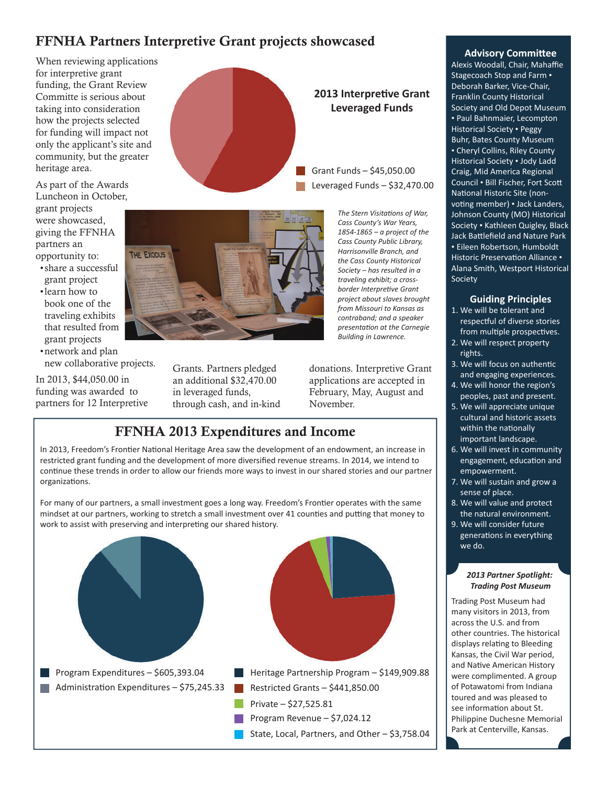# FFNHA Partners Interpretive Grant projects showcased

When reviewing applications for interpretive grant funding, the Grant Review Committe is serious about taking into consideration how the projects selected for funding will impact not only the applicant's site and community, but the greater heritage area.

As part of the Awards Luncheon in October, grant projects were showcased, giving the FFNHA partners an opportunity to:

- share a successful grant project
- learn how to book one of the traveling exhibits that resulted from grant projects

• network and plan new collaborative projects.

In 2013, \$44,050.00 in funding was awarded to partners for 12 Interpretive





Grants. Partners pledged an additional \$32,470.00 in leveraged funds, through cash, and in-kind **2013 Interpretive Grant Leveraged Funds** 

Grant Funds – \$45,050.00 Leveraged Funds – \$32,470.00

> *The Stern Visitations of War. Cass County's War Years, 1854-1865 – a project of the Cass County Public Library, Harrisonville Branch, and the Cass County Historical Society – has resulted in a traveling exhibit; a cross***border Interpretive Grant** *project about slaves brought from Missouri to Kansas as contraband; and a speaker presenta on at the Carnegie Building in Lawrence.*

donations. Interpretive Grant applications are accepted in February, May, August and November.

## FFNHA 2013 Expenditures and Income

In 2013, Freedom's Frontier National Heritage Area saw the development of an endowment, an increase in restricted grant funding and the development of more diversified revenue streams. In 2014, we intend to continue these trends in order to allow our friends more ways to invest in our shared stories and our partner organizations.

For many of our partners, a small investment goes a long way. Freedom's Frontier operates with the same mindset at our partners, working to stretch a small investment over 41 counties and putting that money to work to assist with preserving and interpreting our shared history.



## **Advisory Committee**

Alexis Woodall, Chair, Mahaffie Stagecoach Stop and Farm • Deborah Barker, Vice-Chair, Franklin County Historical Society and Old Depot Museum • Paul Bahnmaier, Lecompton Historical Society • Peggy Buhr, Bates County Museum • Cheryl Collins, Riley County Historical Society • Jody Ladd Craig, Mid America Regional Council • Bill Fischer, Fort Scott National Historic Site (nonvoting member) • Jack Landers, Johnson County (MO) Historical Society • Kathleen Quigley, Black Jack Battlefield and Nature Park • Eileen Robertson, Humboldt Historic Preservation Alliance • Alana Smith, Westport Historical Society

## **Guiding Principles**

- 1. We will be tolerant and respectful of diverse stories from multiple prospectives.
- 2. We will respect property rights.
- 3. We will focus on authentic and engaging experiences.
- 4. We will honor the region's peoples, past and present.
- 5. We will appreciate unique cultural and historic assets within the nationally important landscape.
- 6. We will invest in community engagement, education and empowerment.
- 7. We will sustain and grow a sense of place.
- 8. We will value and protect the natural environment.
- 9. We will consider future generations in everything we do.

#### *2013 Partner Spotlight: Trading Post Museum*

Trading Post Museum had many visitors in 2013, from across the U.S. and from other countries. The historical displays relating to Bleeding Kansas, the Civil War period, and Native American History were complimented. A group of Potawatomi from Indiana toured and was pleased to see information about St. Philippine Duchesne Memorial Park at Centerville, Kansas.